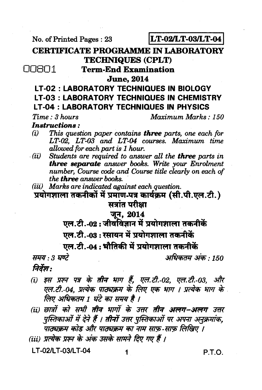No. of Printed Pages: 23

**LT-02/LT-03/LT-04** 

**CERTIFICATE PROGRAMME IN LABORATORY TECHNIQUES (CPLT)** 

00801

**Term-End Examination** 

**June. 2014** 

### **LT-02: LABORATORY TECHNIQUES IN BIOLOGY LT-03: LABORATORY TECHNIQUES IN CHEMISTRY LT-04: LABORATORY TECHNIQUES IN PHYSICS**

 $Time: 3 hours$ 

Maximum Marks: 150

**Instructions:** 

- $(i)$ This question paper contains **three** parts, one each for LT-02, LT-03 and LT-04 courses. Maximum time allowed for each part is 1 hour.
- Students are required to answer all the three parts in  $(ii)$ three separate answer books. Write your Enrolment number, Course code and Course title clearly on each of the **three** answer books.

(iii) Marks are indicated against each question.

प्रयोगशाला तकनीकों में प्रमाण-पत्र कार्यक्रम (सी.पी.एल.टी.) सत्रांत परीक्षा

### जून, 2014

एल.टी.-02:जीवविज्ञान में प्रयोगशाला तकनीकें एल.टी.-03: रसायन में प्रयोगशाला तकनीकें

एल.टी.-04: भौतिकी में प्रयोगशाला तकनीकें

अधिकतम अंक · 150

निर्देश :

समय : 3 घण्टे

- (i) इस प्रश्न पत्र के तीन भाग हैं, एल.टी.-02, एल.टी.-03, और एल.टी.-04. प्रत्येक पाठ्यक्रम के लिए एक भाग । प्रत्येक भाग के . लिए अधिकतम 1 घंटे का समय है ।
- (ii) छात्रों को सभी **तीन भागों के उत्तर तीन अलग-अलग** उत्तर पुस्तिकाओं में देने हैं । तीनों उत्तर पुस्तिकाओं पर अपना अनुक्रमांक, -<br>पाठ्यक्रम कोड और पाठ्यक्रम का नाम साफ़ साफ़ लिखिए ।
- (iii) प्रत्येक प्रश्न के अंक उसके सामने दिए गए हैं ।

LT-02/LT-03/LT-04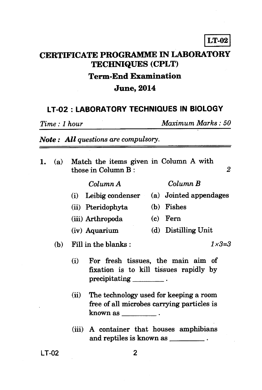## **CERTIFICATE PROGRAMME IN LABORATORY TECHNIQUES (CPLT) Term-End Examination June, 2014**

## **LT-02 : LABORATORY TECHNIQUES IN BIOLOGY**

*Time : 1 hour Maximum Marks : 50* 

*Note : All questions are compulsory.* 

| 1. | (a) | Match the items given in Column A with<br>2<br>those in Column B:                                                                                                                                                                    |  |
|----|-----|--------------------------------------------------------------------------------------------------------------------------------------------------------------------------------------------------------------------------------------|--|
|    |     | Column B<br>Column A                                                                                                                                                                                                                 |  |
|    |     | (i) Leibig condenser (a) Jointed appendages                                                                                                                                                                                          |  |
|    |     | (b) Fishes<br>(ii) Pteridophyta                                                                                                                                                                                                      |  |
|    |     | $(c)$ Fern<br>(iii) Arthropoda                                                                                                                                                                                                       |  |
|    |     | (d) Distilling Unit<br>(iv) Aquarium                                                                                                                                                                                                 |  |
|    | (b) | $1 \times 3 = 3$<br>Fill in the blanks:                                                                                                                                                                                              |  |
|    |     | For fresh tissues, the main aim of<br>(i)<br>fixation is to kill tissues rapidly by<br>$precript{cipitating}$ .<br>The technology used for keeping a room<br>(ii)<br>free of all microbes carrying particles is<br>known as $\_\_$ . |  |
|    |     |                                                                                                                                                                                                                                      |  |
|    |     | (iii) A container that houses amphibians<br>and reptiles is known as _________.                                                                                                                                                      |  |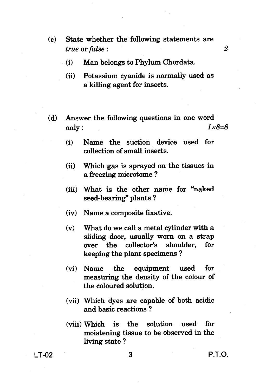- **(c) State whether the following statements are**  *true* **or** *false : 2* 
	- **(i) Man belongs to Phylum Chordata.**
	- **(ii) Potassium cyanide is normally used as a killing agent for insects.**
- **(d) Answer the following questions in one word only :**  $1 \times 8 = 8$ 
	- **(i) Name the suction device used for collection of small insects.**
	- **(ii) Which gas is sprayed on the tissues in a freezing microtome ?**
	- **(iii) What is the other name for "naked seed-bearing" plants ?**
	- **(iv) Name a composite fixative.**
	- **(v) What do we call a metal cylinder with a sliding door, usually worn on a strap over the collector's shoulder, for keeping the plant specimens ?**
	- **(vi) Name the equipment used for measuring the density of the colour of the coloured solution.**
	- **(vii) Which dyes are capable of both acidic and basic reactions ?**
	- **(viii) Which is the solution used for moistening tissue to be observed in the living state ?**

**LT-02 3 P.T.O.**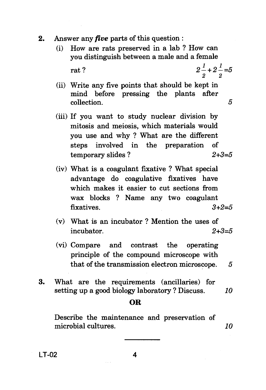- **2.** Answer any *five* parts of this question :
	- (i) How are rats preserved in a lab ? How can you distinguish between a male and a female rat ?  $2\frac{1}{2} + 2\frac{1}{2} = 5$

- 
- (ii) Write any five points that should be kept in mind before pressing the plants after collection. 5
- (iii) If you want to study nuclear division by mitosis and meiosis, which materials would you use and why ? What are the different steps involved in the preparation of  $temporary slides ?$   $2+3=5$
- (iv) What is a coagulant fixative ? What special advantage do coagulative fixatives have which makes it easier to cut sections from wax blocks ? Name any two coagulant fixatives.  $3+2=5$
- (v) What is an incubator ? Mention the uses of incubator.  $2+3=5$
- (vi) Compare and contrast the operating principle of the compound microscope with that of the transmission electron microscope.  $5$
- 3. What are the requirements (ancillaries) for setting up a good biology laboratory ? Discuss.  $10$

#### **OR**

Describe the maintenance and preservation of microbial cultures. 10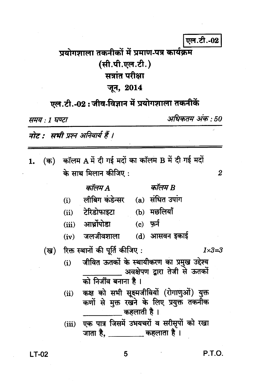### एल.टी.-02

## प्रयोगणाला तकनीकों में प्रमाण-पत्र कार्यक्रम (सी.पी.एल.टी.) सत्रांत परीक्षा जून, 2014

# एल.टी.-02:जीव-विज्ञान में प्रयोगशाला तकनीकें

समय : 1 घण्टा

अधिकतम अंक : 50

 $\overline{2}$ 

नोट : सभी प्रश्न अनिवार्य हैं ।

- (क) कॉलम A में दी गई मदों का कॉलम B में दी गई मदों 1. के साथ मिलान कीजिए :
	- लीबिग कंडेन्सर (a) संधित उपांग  $(i)$

कॉलम B

(ii) टेरिडोफाइटा (b) मछलियाँ

कॉलम A

- (iii) आर्थ्रोपोडा  $(c)$  फ़र्न
- $(iv)$  जलजीवशाला  $(d)$  आसवन इकाई
- रिक्त स्थानों की पूर्ति कीजिए: (ख)  $1 \times 3 = 3$ 
	- जीवित ऊतकों के स्थायीकरण का प्रमुख उद्देश्य  $(i)$ अवक्षेपण द्वारा तेजी से ऊतकों को निर्जीव बनाना है।
	- कक्ष को सभी सूक्ष्मजीवियों (रोगाणुओं) युक्त  $(ii)$ कणों से मुक्त रखने के लिए प्रयुक्त तकनीक <sub>-</sub> कहलाती है ।
	- एक पात्र जिसमें उभयचरों व सरीसृपों को रखा  $(iii)$

 $LT-02$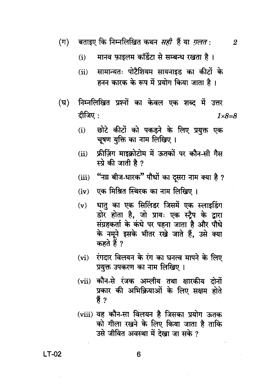- बताइए कि निम्नलिखित कथन *सही* हैं या *ग़लत* :  $(\Pi)$
- $\overline{2}$
- मानव फाइलम कॉर्डेटा से सम्बन्ध रखता है।  $(i)$
- सामान्यतः पोटैशियम सायनाइड का कीटों के  $(ii)$ हनन कारक के रूप में प्रयोग किया जाता है।
- निम्नलिखित प्रश्नों का केवल एक शब्द में उत्तर  $(\mathbf{E})$ दीजिए:  $1 \times 8 = 8$ 
	- छोटे कीटों को पकड़ने के लिए प्रयुक्त एक  $(i)$ चूषण युक्ति का नाम लिखिए ।
	- फ्रीज़िंग माइक्रोटोम में ऊतकों पर कौन-सी गैस  $(ii)$ स्प्रे की जाती है ?
	- "नय़ बीज-धारक" पौधों का दसरा नाम क्या है ?  $(iii)$
	- (iv) एक मिश्रित स्थिरक का नाम लिखिए।
	- धातु का एक सिलिंडर जिसमें एक स्लाइडिंग  $(v)$ डोर होता है, जो प्रायः एक स्ट्रैप के द्वारा संग्रहकर्ता के कंधे पर पहना जाता है और पौधे के नमूने इसके भीतर रखे जाते हैं, उसे क्या कहते हैं ?
	- रंगदार विलयन के रंग का घनत्व मापने के लिए  $(vi)$ प्रयुक्त उपकरण का नाम लिखिए ।
	- (vii) कौन-से रंजक अम्लीय तथा क्षारकीय दोनों प्रकार की अभिक्रियाओं के लिए सक्षम होते हैं ?
	- (viii) वह कौन-सा विलयन है जिसका प्रयोग ऊतक को गीला रखने के लिए किया जाता है ताकि उसे जीवित अवस्था में देखा जा सके ?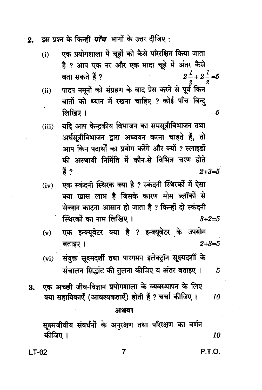इस प्रश्न के किन्हीं *पाँच* भागों के उत्तर दीजिए :  $2.$ 

- एक प्रयोगशाला में चूहों को कैसे परिरक्षित किया जाता  $(i)$ है ? आप एक नर और एक मादा चूहे में अंतर कैसे  $2^{\frac{1}{-}}+2^{\frac{1}{-}}=5$ बता सकते हैं ?
- पादप नमूनों को संग्रहण के बाद प्रेस करने से पूर्व किन  $(ii)$ बातों को ध्यान में रखना चाहिए ? कोई पाँच बिन्द् लिखिए ।
- यदि आप केन्द्रकीय विभाजन का समसूत्रीविभाजन तथा  $(iii)$ अर्धसूत्रीविभाजन द्वारा अध्ययन करना चाहते हैं, तो आप किन पदार्थों का प्रयोग करेंगे और क्यों ? स्लाइडों की अस्थायी निर्मिति में कौन-से विभिन्न चरण होते हैं ?  $2 + 3 = 5$
- एक स्कंदनी स्थिरक क्या है ? स्कंदनी स्थिरकों में ऐसा  $(iv)$ क्या खास लाभ है जिसके कारण मोम ब्लॉकों से सेक्शन काटना आसान हो जाता है ? किन्हीं दो स्कंदनी स्थिरकों का नाम लिखिए।  $3 + 2 = 5$
- एक इन्क्यूबेटर क्या है ? इन्क्यूबेटर के उपयोग  $(v)$ बताइए ।  $2 + 3 = 5$
- संयुक्त सूक्ष्मदर्शी तथा पारगमन इलेक्ट्रॉन सूक्ष्मदर्शी के  $(vi)$ संचालन सिद्धांत की तुलना कीजिए व अंतर बताइए। 5
- एक अच्छी जीव-विज्ञान प्रयोगशाला के व्यवस्थापन के लिए **3.** क्या सहायिकाएँ (आवश्यकताएँ) होती हैं ? चर्चा कीजिए । 10

#### अथवा

सूक्ष्मजीवीय संवर्धनों के अनुरक्षण तथा परिरक्षण का वर्णन कीजिए । 10

**LT-02** 

P.T.O.

5

7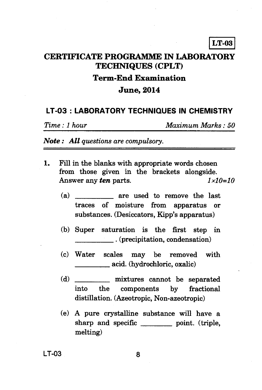## **CERTIFICATE PROGRAMME IN LABORATORY TECHNIQUES (CPLT) Term-End Examination June, 2014**

### **LT-03 : LABORATORY TECHNIQUES IN CHEMISTRY**

*Time : 1 hour Maximum Marks : 50* 

*Note : All questions are compulsory.* 

- **1.** Fill in the blanks with appropriate words chosen from those given in the brackets alongside. Answer any *ten* parts.  $1 \times 10 = 10$ 
	- *(a)* are used to remove the last traces of moisture from apparatus or substances. (Desiccators, Kipp's apparatus)
	- (b) Super saturation is the first step in . (precipitation, condensation)
	- (c) Water scales may be removed with acid. (hydrochloric, oxalic)
	- (d) mixtures cannot be separated into the components by fractional distillation. (Azeotropic, Non-azeotropic)
	- (e) A pure crystalline substance will have a sharp and specific point. (triple, melting)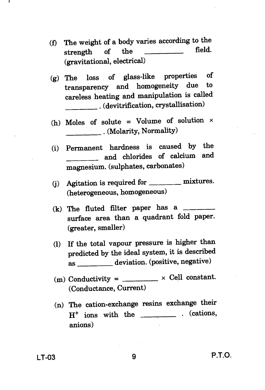- **(f) The weight of a body varies according to the**  strength of the **(gravitational, electrical)**
- **(g) The loss of glass-like properties of**  transparency and homogeneity due **careless heating and manipulation is called . (devitrification, crystallisation)**
- **(h) Moles of solute = Volume of solution x . (Molarity, Normality)**
- **(i) Permanent hardness is caused by the and chlorides of calcium and magnesium. (sulphates, carbonates)**
- **(j) Agitation is required for mixtures. (heterogeneous, homogeneous)**
- **(k) The fluted filter paper has a surface area than a quadrant fold paper. (greater, smaller)**
- **(1) If the total vapour pressure is higher than predicted by the ideal system, it is described**  as \_\_\_\_\_\_\_ deviation. (positive, negative)
- $(m)$  Conductivity =  $\frac{1}{m}$  × Cell constant. **(Conductance, Current)**
- **(n) The cation-exchange resins exchange their H+ ions with the . (cations, anions)**

**LT-03 9 P.T.O.**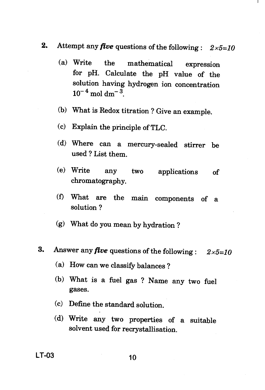- **2.** Attempt any *five* questions of the following : *2x5=10* 
	- (a) Write the mathematical expression for pH. Calculate the pH value of the solution having hydrogen ion concentration  $10^{-4}$  mol dm<sup>-3</sup>.
	- (b) What is Redox titration ? Give an example.
	- (c) Explain the principle of TLC.
	- (d) Where can a mercury-sealed stirrer be used ? List them.
	- (e) Write any two applications of chromatography.
	- (f) What are the main components of a solution ?
	- (g) What do you mean by hydration ?
- **3.** Answer any *five* questions of the following : *2x5=10* 
	- (a) How can we classify balances ?
	- (b) What is a fuel gas ? Name any two fuel gases.
	- (c) Define the standard solution.
	- (d) Write any two properties of a suitable solvent used for recrystallisation.

**LT-03** 10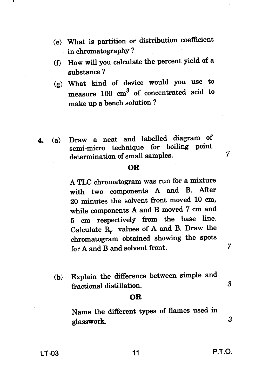- **(e) What is partition or distribution coefficient in chromatography ?**
- **(f) How will you calculate the percent yield of a substance ?**
- **(g) What kind of device would you use to measure 100 cm3 of concentrated acid to make up a bench solution ?**
- **4. (a) Draw a neat and labelled diagram of semi-micro technique for boiling point determination of small samples. 7**

#### **OR**

**A TLC chromatogram was run for a mixture with two components A and B. After 20 minutes the solvent front moved 10 cm, while components A and B moved 7 cm and 5 cm respectively from the base line.**  Calculate R<sub>f</sub> values of A and B. Draw the **chromatogram obtained showing the spots for A and B and solvent front.** 

**(b) Explain the difference between simple and fractional distillation. 3** 

#### **OR**

**Name the different types of flames used in glasswork.** *3* 

 $\mathbf 7$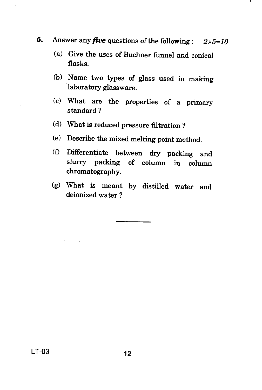- **5.** Answer any *five* questions of the following : *2x5=10* 
	- (a) Give the uses of Buchner funnel and conical flasks.
	- (b) Name two types of glass used in making laboratory glassware.
	- (c) What are the properties of a primary standard ?
	- (d) What is reduced pressure filtration ?
	- (e) Describe the mixed melting point method.
	- (0 Differentiate between dry packing and slurry packing of column in column chromatography.
	- *(g)* What is meant by distilled water and deionized water ?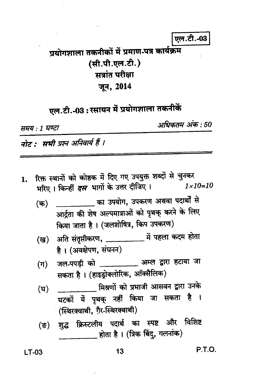एल.टी.-03

# प्रयोगशाला तकनीकों में प्रमाण-पत्र कार्यक्रम (सी.पी.एल.टी.) सत्रांत परीक्षा जून, 2014

एल.टी.-03: रसायन में प्रयोगशाला तकनीकें

समय : 1 घण्टा

अधिकतम अंक : 50

नोट : सभी प्रश्न अनिवार्य हैं ।

रिक्त स्थानों को कोष्ठक में दिए गए उपयुक्त शब्दों से चुनकर 1. भरिए । किन्हीं *दस* भागों के उत्तर दीजिए ।  $1 \times 10 = 10$ 

- \_\_\_\_\_\_\_\_\_ का उपयोग, उपकरण अथवा पदार्थों से  $($ क) आर्द्रता की शेष अल्पमात्राओं को पृथक् करने के लिए किया जाता है। (जलशोषित्र, किप उपकरण)
- (ख) अति संतृप्तीकरण, \_\_\_\_\_\_\_\_\_\_\_\_\_ में पहला कदम होता है। (अवक्षेपण, संघनन)
- जल-पपड़ी को \_\_\_\_\_\_\_\_\_\_\_ अम्ल द्वारा हटाया जा  $(\pi)$ सकता है। (हाइड्रोक्लोरिक, ऑक्सैलिक)
- मिश्रणों को प्रभाजी आसवन द्वारा उनके (घ) घटकों में पृथक् नहीं किया जा सकता है । (स्थिरक्वाथी, ग़ैर-स्थिरक्वाथी)
- शुद्ध क्रिस्टलीय पदार्थ का स्पष्ट और विशिष्ट (ন্ত) होता है। (त्रिक बिंदु, गलनांक)

 $LT-03$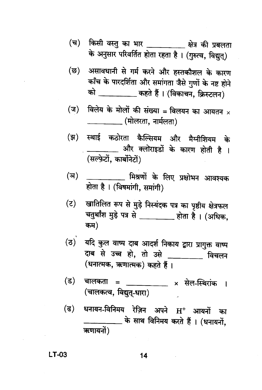- किसी वस्तु का भार \_\_\_\_\_\_\_\_\_\_ क्षेत्र की प्रबलता (च) के अनुसार परिवर्तित होता रहता है। (गुरुत्व, विद्युत्)
- असावधानी से गर्म करने और हस्तकौशल के कारण (ন্ত) काँच के पारदर्शिता और समांगता जैसे गुणों के नष्ट होने को \_\_\_\_\_\_\_\_\_\_ कहते हैं। (विकाचन, क्रिस्टलन)
- विलेय के मोलों की संख्या = विलयन का आयतन  $\times$  $(\exists)$ \_\_\_\_\_\_\_\_\_\_ (मोलरता, नार्मलता)
- स्थाई कठोरता कैल्सियम और मैग्नीशियम के (झ) और क्लोराइडों के कारण होती है । (सल्फ़ेटों, कार्बोनेटों)
- <sub>- —</sub> मिश्रणों के लिए प्रक्षोभन आवश्यक (অ) होता है। (विषमांगी, समांगी)
- खातिलित रूप से मुड़े निस्यंदक पत्र का पृष्ठीय क्षेत्रफल  $(5)$ चतुर्थांश मुड़े पत्र से \_\_\_\_\_\_\_\_ होता है। (अधिक, कम)
- यदि कुल वाष्प दाब आदर्श निकाय द्वारा प्रागुक्त वाष्प (ਠ) दाब से उच्च हो, तो उसे \_\_\_\_\_\_\_ विचलन (धनात्मक, ऋणात्मक) कहते हैं।
- चालकता = \_\_\_\_\_\_\_\_\_\_ × सेल-स्थिरांक । (ड) (चालकत्व, विद्युत-धारा)
- धनायन-विनिमय रेज़िन अपने H<sup>+</sup> आयनों का (ढ) \_\_ के साथ विनिमय करते हैं । (धनायनों, ऋणायनों)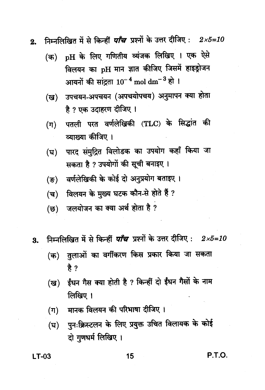- निम्नलिखित में से किन्हीं *पाँच* प्रश्नों के उत्तर दीजिए:  $2 \times 5=10$  $2.$ 
	- (क) pH के लिए गणितीय व्यंजक लिखिए । एक ऐसे विलयन का pH मान ज्ञात कीजिए जिसमें हाइड्रोजन आयनों की सांद्रता  $10^{-4}$  mol dm<sup>-3</sup> हो ।
	- उपचयन-अपचयन (अपचयोपचय) अनुमापन क्या होता (ख) है ? एक उदाहरण दीजिए ।
	- पतली परत वर्णलेखिकी (TLC) के सिद्धांत की  $(\pi)$ व्याख्या कीजिए ।
	- पारद संमुद्रित विलोडक का उपयोग कहाँ किया जा (घ) सकता है ? उपयोगों की सूची बनाइए ।
	- वर्णलेखिकी के कोई दो अनुप्रयोग बताइए। (ङ)
	- विलयन के मुख्य घटक कौन-से होते हैं ? (च)
	- जलयोजन का क्या अर्थ होता है ? (ন্ত)
- निम्नलिखित में से किन्हीं *पाँच* प्रश्नों के उत्तर दीजिए: 2x5=10 3.
	- तुलाओं का वर्गीकरण किस प्रकार किया जा सकता (क) है ?
	- ईंधन गैस क्या होती है ? किन्हीं दो ईंधन गैसों के नाम (ख) लिखिए ।
	- मानक विलयन की परिभाषा दीजिए ।  $(\Pi)$
	- (घ) पुनःक्रिस्टलन के लिए प्रयुक्त उचित विलायक के कोई दो गणधर्म लिखिए।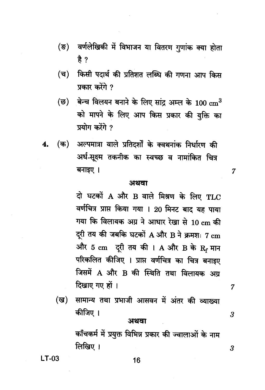- $(\overline{S})$ वर्णलेखिकी में विभाजन या वितरण गुणांक क्या होता है $?$
- किसी पदार्थ की प्रतिशत लब्धि की गणना आप किस  $(\overline{\mathbf{q}})$ प्रकार करेंगे ?
- (ন্ত) बेन्च विलयन बनाने के लिए सांद अम्ल के 100  $\mathrm{cm}^3$ को मापने के लिए आप किस प्रकार की युक्ति का प्रयोग करेंगे ?
- (क) अल्पमात्रा वाले प्रतिदर्शों के क्वथनांक निर्धारण की 4. अर्ध-सूक्ष्म तकनीक का स्वच्छ व नामांकित चित्र बनाइए ।

#### अथवा

d घटकों A और B वाले मिश्रण के लिए TLC वर्णचित्र प्राप्त किया गया । 20 मिनट बाद यह पाया गया कि विलायक अग्र ने आधार रेखा से 10 cm की दरी तय की जबकि घटकों A और B ने क्रमशः 7 cm और 5  ${\rm cm}$  दूरी तय की । A और B के  ${\rm R}_{\rm r}$  मान परिकलित कीजिए । प्राप्त वर्णचित्र का चित्र बनाइए जिसमें A और B की स्थिति तथा विलायक अग्र दिखाए गए हों ।

सामान्य तथा प्रभाजी आसवन में अंतर की व्याख्या (ख) कीजिए ।

#### अथवा

काँचकर्म में प्रयुक्त विभिन्न प्रकार की ज्वालाओं के नाम लिखिए ।

 $LT-03$ 

7

7

3

 $\boldsymbol{\beta}$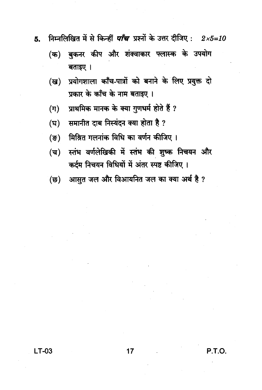- निम्नलिखित में से किन्हीं *पाँच* प्रश्नों के उत्तर दीजिए:  $2 \times 5 = 10$ 5.
	- बुकनर कीप और शंक्वाकार फ्लास्क के उपयोग (क) बताइए ।
	- प्रयोगशाला काँच-पात्रों को बनाने के लिए प्रयुक्त दो  $(\overline{g})$ प्रकार के काँच के नाम बताइए।
	- प्राथमिक मानक के क्या गुणधर्म होते हैं ?  $(\pi)$
	- समानीत दाब निस्यंदन क्या होता है ? (घ)
	- मिश्रित गलनांक विधि का वर्णन कीजिए।  $($ ङ)
	- स्तंभ वर्णलेखिकी में स्तंभ की शुष्क निचयन और  $(\overline{\mathbf{u}})$ कर्दम निचयन विधियों में अंतर स्पष्ट कीजिए।
	- आसुत जल और विआयनित जल का क्या अर्थ है ? (ন্ত)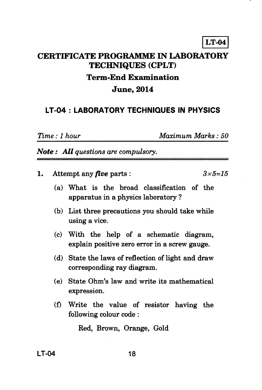# **LT-04 CERTIFICATE PROGRAMME IN LABORATORY TECHNIQUES (CPLT) Term-End Examination June, 2014**

### **LT-04 : LABORATORY TECHNIQUES IN PHYSICS**

*Time : 1 hour Maximum Marks : 50* 

*Note : All questions are compulsory.* 

- **1.** Attempt any *five* parts :  $3 \times 5 = 15$ 
	- **(a) What is the broad classification of the apparatus in a physics laboratory ?**
	- **(b) List three precautions you should take while using a vice.**
	- **(c) With the help of a schematic diagram, explain positive zero error in a screw gauge.**
	- **(d) State the laws of reflection of light and draw corresponding ray diagram.**
	- **(e) State Ohm's law and write its mathematical expression.**
	- **(f) Write the value of resistor having the following colour code :**

**Red, Brown, Orange, Gold**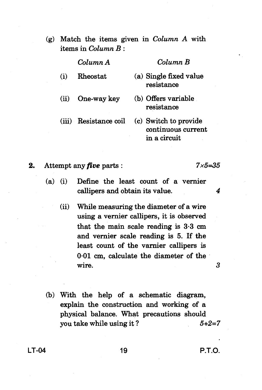(g) Match the items given in *Column A* with items in *Column B :* 

*Column A Column B* 

- (i) Rheostat (a) Single fixed value resistance
- (ii) One-way key (b) Offers variable resistance
- 

## (iii) Resistance coil (c) Switch to provide continuous current

in a circuit

**2.** Attempt any *five* parts : *7x5=35* 

- (a) (i) Define the least count of a vernier callipers and obtain its value. *4* 
	- (ii) While measuring the diameter of a wire using a vernier callipers, it is observed that the main scale reading is 3.3 cm and vernier scale reading is 5. If the least count of the varnier callipers is 0.01 cm, calculate the diameter of the wire. 3
- (b) With the help of a schematic diagram, explain the construction and working of a physical balance. What precautions should you take while using it ? *5+2=7*

**LT-04 19 P.T.O.**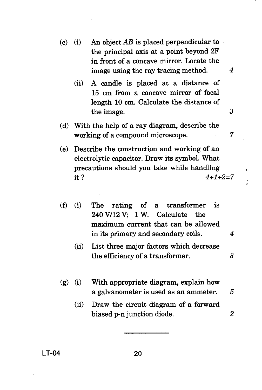- (c) (i) An object  $AB$  is placed perpendicular to the principal axis at a point beyond 2F in front of a concave mirror. Locate the image using the ray tracing method. 4
	- (ii) A candle is placed at a distance of 15 cm from a concave mirror of focal length 10 cm. Calculate the distance of the image. 3
- (d) With the help of a ray diagram, describe the working of a compound microscope.  $7$
- (e) Describe the construction and working of an electrolytic capacitor. Draw its symbol. What precautions should you take while handling it ?  $4+1+2=7$
- (i) The rating of a transformer is  $(f)$ 240 V/12 V; 1 W. Calculate the maximum current that can be allowed in its primary and secondary coils. *4* 
	- (ii) List three major factors which decrease the efficiency of a transformer. 3
- (g) (i) With appropriate diagram, explain how a galvanometer is used as an ammeter. 5
	- (ii) Draw the circuit diagram of a forward biased p-n junction diode. 2
- **LT-04 20**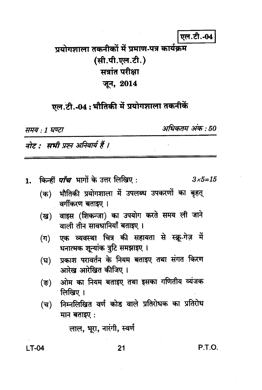### एल.टी.-04

## प्रयोगशाला तकनीकों में प्रमाण-पत्र कार्यक्रम (सी.पी.एल.टी.) सत्रांत परीक्षा जून, 2014

# एल.टी.-04: भौतिकी में प्रयोगशाला तकनीकें

समय : 1 घण्टा

अधिकतम अंक : 50

नोट : सभी प्रश्न अनिवार्य हैं ।

किन्हीं *पाँच* भागों के उत्तर लिखिए : 1.

 $3 \times 5 = 15$ 

- भौतिकी प्रयोगशाला में उपलब्ध उपकरणों का बृहत् (क) वर्गीकरण बताइए ।
- वाइस (शिकन्जा) का उपयोग करते समय ली जाने (ख) वाली तीन सावधानियाँ बताइए ।
- एक व्यवस्था चित्र की सहायता से स्क्रू-गेज़ में  $(\Pi)$ धनात्मक शून्यांक त्रुटि समझाइए ।
- प्रकाश परावर्तन के नियम बताइए तथा संगत किरण (घ) आरेख आरेखित कीजिए।
- ओम का नियम बताइए तथा इसका गणितीय व्यंजक (ভ) <del>ा</del>लिखिए ।
- निम्नलिखित वर्ण कोड वाले प्रतिरोधक का प्रतिरोध  $(\overline{\mathbf{u}})$ मान बताइए:

लाल, भूरा, नारंगी, स्वर्ण

 $LT-04$ 

#### $21$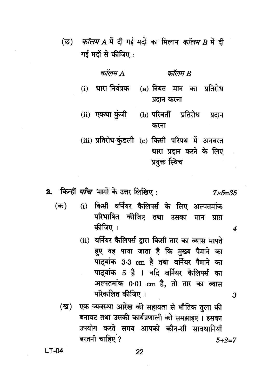*कॉलम A* में दी गई मदों का मिलान *कॉलम B* में दी (छ) गई मदों से कीजिए:

| कॉलम A | कॉलम B                                                                                      |
|--------|---------------------------------------------------------------------------------------------|
|        | (i) धारा नियंत्रक (a) नियत मान का प्रतिरोध<br>प्रदान करना                                   |
|        | (ii) एकधा कुंजी (b) परिवर्ती प्रतिरोध प्रदान<br>करना                                        |
|        | (iii) प्रतिरोध कुंडली (c) किसी परिपथ में अनवरत<br>धारा प्रदान करने के लिए<br>प्रयुक्त स्विच |

2. किन्हीं *पाँच* भागों के उत्तर लिखिए :  $7 \times 5 = 35$ 

- $($ क) (i) किसी वर्नियर कैलिपर्स के लिए अल्पतमांक परिभाषित कीजिए तथा उसका मान प्राप्त कीजिए ।
	- (ii) वर्नियर कैलिपर्स द्वारा किसी तार का व्यास मापते हुए यह पाया जाता है कि मुख्य पैमाने का पाठ्यांक 3.3 cm है तथा वर्नियर पैमाने का पाठयांक 5 है । यदि वर्नियर कैलिपर्स का अल्पतमांक 0.01 cm है. तो तार का व्यास परिकलित कीजिए ।

 $\boldsymbol{\Lambda}$ 

3

एक व्यवस्था आरेख की सहायता से भौतिक तुला की (ख) बनावट तथा उसकी कार्यप्रणाली को समझाइए। इसका उपयोग करते समय आपको कौन-सी सावधानियाँ बरतनी चाहिए ?  $5 + 2 = 7$ 

 $LT-04$